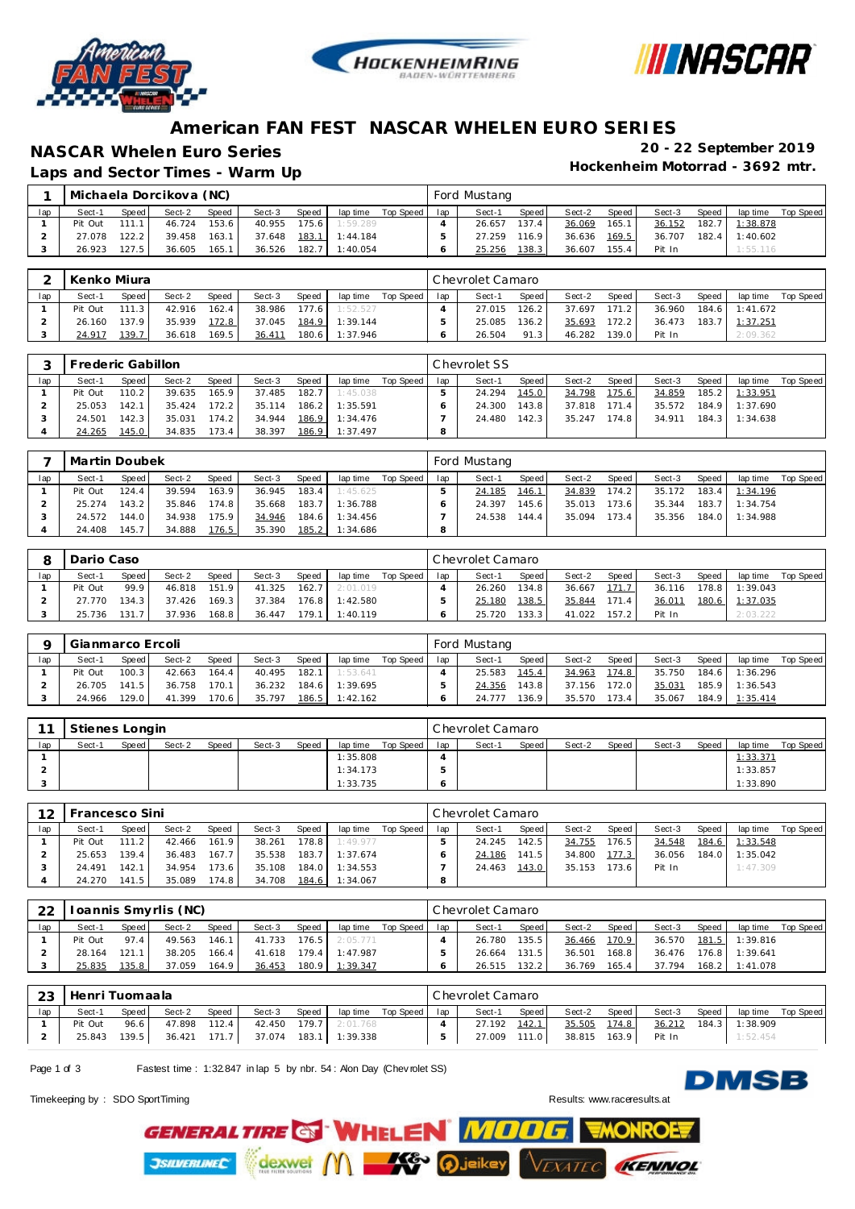





### **American FAN FEST NASCAR WHELEN EURO SERIES**

## **NASCAR Whelen Euro Series 20 - 22 September 2019**

Laps and Sector Times - Warm Up

|     |         |       | Michaela Dorcikova (NC) |       |        |              |          |           |     | Ford Mustang |       |              |       |        |         |          |           |
|-----|---------|-------|-------------------------|-------|--------|--------------|----------|-----------|-----|--------------|-------|--------------|-------|--------|---------|----------|-----------|
| lap | Sect-1  | Speed | Sect-2                  | Speed | Sect-3 | <b>Speed</b> | lap time | Top Speed | lap | Sect-1       | Speed | Sect-2       | Speed | Sect-3 | Speed   | lap time | Top Speed |
|     | Pit Out | 111.1 | 46.724                  | 153.6 | 40.955 | 175.6        | 1:59.289 |           |     | 26.657       | 137.4 | 36.069       | 165.1 | 36.152 | 182.7   | 1:38.878 |           |
|     | 27.078  | 122.2 | 39.458                  | 163.1 | 37.648 | 183.1        | 1:44.184 |           |     | 27.259       | 116.9 | 36.636 169.5 |       | 36.707 | $182.4$ | 1:40.602 |           |
|     | 26.923  | 127.5 | 36.605                  | 165.1 | 36.526 | 182.7        | 1:40.054 |           |     | 25.256       | 138.3 | 36.607       | 155.4 | Pit In |         | 1:55.116 |           |

|     | Kenko Miura |              |        |       |        |           |          |           |     | Chevrolet Camaro |       |        |        |        |       |                |           |
|-----|-------------|--------------|--------|-------|--------|-----------|----------|-----------|-----|------------------|-------|--------|--------|--------|-------|----------------|-----------|
| lap | Sect-1      | <b>Speed</b> | Sect-2 | Speed | Sect-3 | Speed     | lap time | Top Speed | lap | Sect-1           | Speed | Sect-2 | Speed  | Sect-3 | Speed | lap time       | Top Speed |
|     | Pit Out     | 111.3        | 42.916 | 162.4 | 38.986 | $177.6$ I | 1:52.527 |           |     | 27.015           | 126.2 | 37.697 | 171.2  | 36.960 |       | 184.6 1:41.672 |           |
|     | 26.160      | 137.9        | 35.939 | 172.8 | 37.045 | 184.9     | 1:39.144 |           |     | 25.085           | 136.2 | 35.693 | 172.2  | 36.473 | 183.7 | 1:37.251       |           |
|     | 24.917      | 139.7        | 36.618 | 169.5 | 36.411 | 180.6     | 1:37.946 |           |     | 26.504           | 91.3  | 46.282 | 139.01 | Pit In |       | 2:09.362       |           |

|     | Frederic Gabillon |       |        |       |        |       |          |           |     | Chevrolet SS |       |        |       |        |       |          |           |
|-----|-------------------|-------|--------|-------|--------|-------|----------|-----------|-----|--------------|-------|--------|-------|--------|-------|----------|-----------|
| lap | Sect-1            | Speed | Sect-2 | Speed | Sect-3 | Speed | lap time | Top Speed | lap | Sect-1       | Speed | Sect-2 | Speed | Sect-3 | Speed | lap time | Top Speed |
|     | Pit Out           | 110.2 | 39.635 | 165.9 | 37.485 | 182.7 | 1:45.038 |           |     | 24.294       | 145.0 | 34.798 | 75.6  | 34.859 | 185.2 | 1:33.951 |           |
|     | 25.053            | 142.1 | 35.424 | 172.2 | 35.114 | 186.2 | 1:35.591 |           |     | 24.300       | 143.8 | 37.818 | 171.4 | 35.572 | 184.9 | 1:37.690 |           |
|     | 24.501            | 142.3 | 35.031 | 174.2 | 34.944 | 186.9 | 1:34.476 |           |     | 24.480       | 142.3 | 35.247 | 174.8 | 34.911 | 184.3 | 1:34.638 |           |
|     | 24.265            | 145.0 | 34.835 | 173.4 | 38.397 | 186.9 | 1:37.497 |           |     |              |       |        |       |        |       |          |           |

|     | Martin Doubek |         |        |       |        |       |          |           |     | Ford Mustang |        |        |       |        |       |          |           |
|-----|---------------|---------|--------|-------|--------|-------|----------|-----------|-----|--------------|--------|--------|-------|--------|-------|----------|-----------|
| lap | Sect-1        | Speed I | Sect-2 | Speed | Sect-3 | Speed | lap time | Top Speed | lap | Sect-1       | Speed  | Sect-2 | Speed | Sect-3 | Speed | lap time | Top Speed |
|     | Pit Out       | 124.4   | 39.594 | 163.9 | 36.945 | 183.4 | 1:45.625 |           |     | 24.185       | 146.1  | 34.839 | 174.2 | 35.172 | 183.4 | 1:34.196 |           |
|     | 25.274        | 143.2   | 35.846 | 174.8 | 35.668 | 183.7 | 1:36.788 |           |     | 24.397       | 145.61 | 35.013 | 173.6 | 35.344 | 183.7 | 1:34.754 |           |
|     | 24.572        | 144.0   | 34.938 | 175.9 | 34.946 | 184.6 | 1:34.456 |           |     | 24.538       | 144.4  | 35.094 | 173.4 | 35.356 | 184.0 | 1:34.988 |           |
|     | 24.408        | 145.7   | 34.888 | 176.5 | 35.390 | 185.2 | 1:34.686 |           | 8   |              |        |        |       |        |       |          |           |

|     | Dario Caso |                       |        |       |        |       |          |           |     | Chevrolet Camaro |       |        |       |        |       |          |           |
|-----|------------|-----------------------|--------|-------|--------|-------|----------|-----------|-----|------------------|-------|--------|-------|--------|-------|----------|-----------|
| lap | Sect-1     | Speed                 | Sect-2 | Speed | Sect-3 | Speed | lap time | Top Speed | lap | Sect-1           | Speed | Sect-2 | Speed | Sect-3 | Speed | lap time | Top Speed |
|     | Pit Out    | 99.9                  | 46.818 | 151.9 | 41.325 | 162.7 | 2:01.019 |           |     | 26.260           | 134.8 | 36.667 | 171   | 36.116 | 178.8 | 1:39.043 |           |
|     | 27.770     | 134.3                 | 37.426 | 169.3 | 37.384 | 176.8 | 1:42.580 |           |     | 25.180           | 138.5 | 35.844 | 171.4 | 36.011 | 180.6 | 1:37.035 |           |
|     | 25.736     | 131<br>$\overline{ }$ | 37.936 | 168.8 | 36.447 | 79.1  | 1:40.119 |           |     | 25.720           | 133.3 | 41.022 | 157.2 | Pit In |       | 2:03.222 |           |

|     | Gianmarco Ercoli |       |        |       |        |       |          |           |     | Ford Mustang |                    |        |       |        |       |                |           |
|-----|------------------|-------|--------|-------|--------|-------|----------|-----------|-----|--------------|--------------------|--------|-------|--------|-------|----------------|-----------|
| lap | Sect-1           | Speed | Sect-2 | Speed | Sect-3 | Speed | lap time | Top Speed | lap | Sect-1       | Speed              | Sect-2 | Speed | Sect-3 | Speed | lap time       | Top Speed |
|     | Pit Out          | 100.3 | 42.663 | 164.4 | 40.495 | 182.1 | 1:53.641 |           |     | 25.583       | 145.4              | 34.963 | 174.8 | 35.750 |       | 184.6 1:36.296 |           |
|     | 26.705           | 141.5 | 36.758 | 170.1 | 36.232 | 184.6 | 1:39.695 |           |     | 24.356       | 143.8              | 37.156 | 172.0 | 35.031 |       | 185.9 1:36.543 |           |
|     | 24.966           | 129.0 | 41.399 | 170.6 | 35.797 | 186.5 | 1:42.162 |           |     | 24.777       | 136.9 <sub>1</sub> | 35.570 | 173.4 | 35.067 |       | 184.9 1:35.414 |           |

| $\sim$ | Stienes Longin |       |        |              |        |       |          |           |     | Chevrolet Camaro |       |        |       |        |       |                 |           |
|--------|----------------|-------|--------|--------------|--------|-------|----------|-----------|-----|------------------|-------|--------|-------|--------|-------|-----------------|-----------|
| lap    | Sect-1         | Speed | Sect-2 | <b>Speed</b> | Sect-3 | Speed | lap time | Top Speed | lap | Sect-1           | Speed | Sect-2 | Speed | Sect-3 | Speed | lap time        | Top Speed |
|        |                |       |        |              |        |       | 1:35.808 |           |     |                  |       |        |       |        |       | <u>1:33.371</u> |           |
|        |                |       |        |              |        |       | 1:34.173 |           |     |                  |       |        |       |        |       | 1:33.857        |           |
|        |                |       |        |              |        |       | 1:33.735 |           |     |                  |       |        |       |        |       | 1:33.890        |           |

| 12  | <sup>-</sup> rancesco Sini |       |        |       |        |       |          |           |     | Chevrolet Camaro |         |        |       |        |       |          |           |
|-----|----------------------------|-------|--------|-------|--------|-------|----------|-----------|-----|------------------|---------|--------|-------|--------|-------|----------|-----------|
| lap | Sect-1                     | Speed | Sect-2 | Speed | Sect-3 | Speed | lap time | Top Speed | lap | Sect-1           | Speed I | Sect-2 | Speed | Sect-3 | Speed | lap time | Top Speed |
|     | Pit Out                    | 111.2 | 42.466 | 161.9 | 38.261 | 178.8 | 1:49.977 |           |     | 24.245           | 142.5   | 34.755 | 176.5 | 34.548 | 184.6 | 1:33.548 |           |
|     | 25.653                     | 139.4 | 36.483 | 167.7 | 35.538 | 183.7 | 1:37.674 |           |     | 24.186           | 141.5   | 34.800 | 177.3 | 36.056 | 184.0 | 1:35.042 |           |
|     | 24.491                     | 142.1 | 34.954 | 173.6 | 35.108 | 184.0 | 1:34.553 |           |     | 24.463           | 143.0   | 35.153 | 173.6 | Pit In |       | 1:47.309 |           |
|     | 24.270                     | 141.5 | 35.089 | 174.8 | 34.708 | 184.6 | 1:34.067 |           |     |                  |         |        |       |        |       |          |           |

| 22  |         |       | oannis Smyrlis (NC) |       |        |       |          |             |     | Chevrolet Camaro |         |        |       |        |       |                |           |
|-----|---------|-------|---------------------|-------|--------|-------|----------|-------------|-----|------------------|---------|--------|-------|--------|-------|----------------|-----------|
| lap | Sect-1  | Speed | Sect-2              | Speed | Sect-3 | Speed | lap time | Top Speed I | lap | Sect-1           | Speed I | Sect-2 | Speed | Sect-3 | Speed | lap time       | Top Speed |
|     | Pit Out | 97.4  | 49.563              | 146.1 | 41.733 | 176.5 | 2:05.771 |             |     | 26.780           | 135.5   | 36.466 | 170.9 | 36.570 |       | 181.5 1:39.816 |           |
|     | 28.164  | 121.1 | 38.205              | 166.4 | 41.618 | 179.4 | 1:47.987 |             |     | 26.664           | 131.5   | 36.501 | 168.8 | 36.476 |       | 176.8 1:39.641 |           |
|     | 25.835  | 135.8 | 37.059              | 164.9 | 36.453 | 180.9 | 1:39.347 |             |     | 26.515           | 132.2   | 36.769 | 165.4 | 37.794 |       | 168.2 1:41.078 |           |

| ົດດ<br>23 | Henri Tuomaala |         |        |       |              |       |                |           |     | l Chevrolet Camaro |       |        |       |        |       |          |           |
|-----------|----------------|---------|--------|-------|--------------|-------|----------------|-----------|-----|--------------------|-------|--------|-------|--------|-------|----------|-----------|
| lap       | Sect-1         | Speed i | Sect-2 | Speed | Sect-3       | Speed | lap time       | Top Speed | lap | Sect-1             | Speed | Sect-2 | Speed | Sect-3 | Speed | lap time | Top Speed |
|           | Pit Out        | 96.6    | 47.898 | 112.4 | 42.450 179.7 |       | 2:01.768       |           |     | 27.192             | 142.1 | 35.505 | 174.8 | 36.212 | 184.3 | 1:38.909 |           |
|           | 25.843         | 139.5   | 36.421 | 171.7 | 37.074       |       | 183.1 1:39.338 |           |     | 27.009             | 111.0 | 38.815 | 163.9 | Pit In |       | 1:52.454 |           |

Page 1 of 3 Fastest time : 1:32.847 in lap 5 by nbr. 54 : Alon Day (Chev rolet SS)

Timekeeping by : SDO SportTiming **Results:**<www.raceresults.at>

**DMSB** 

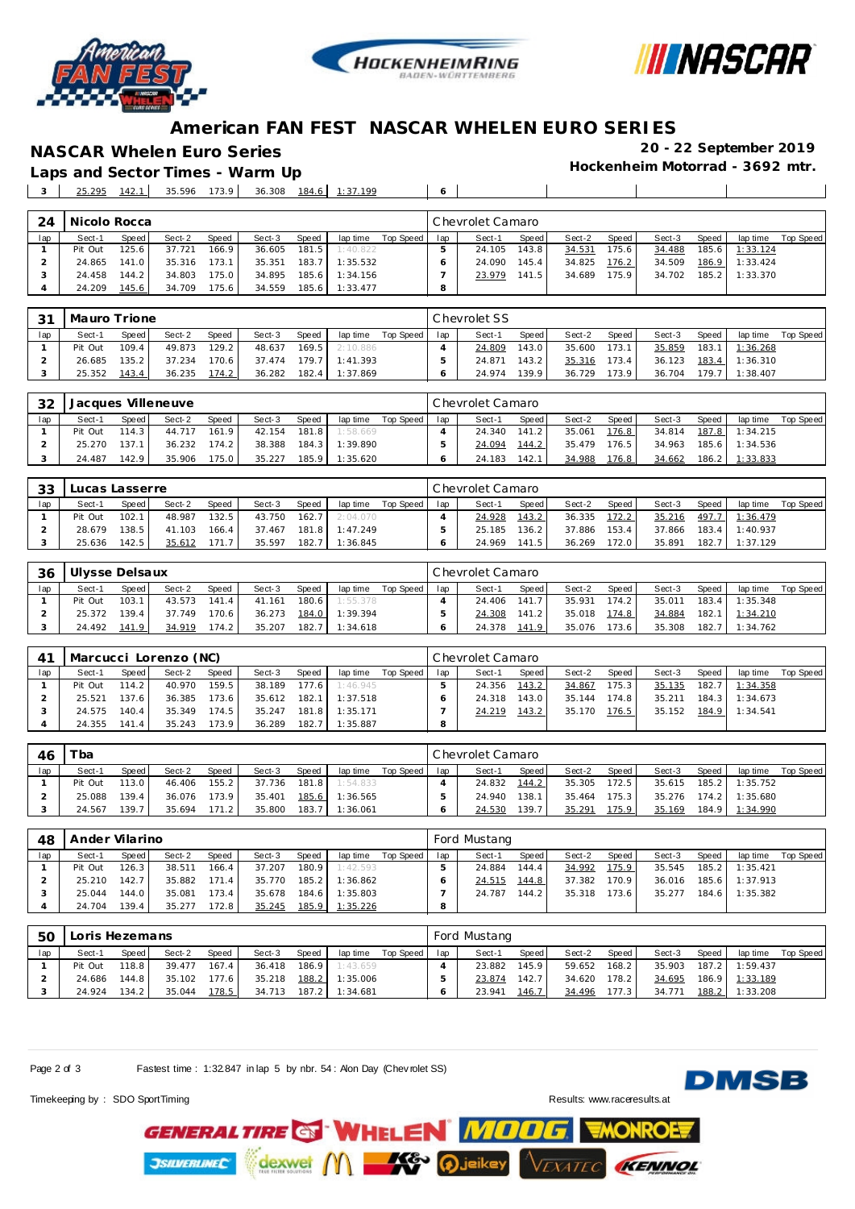





### **American FAN FEST NASCAR WHELEN EURO SERIES**

Laps and Sector Times - Warm Up

**NASCAR Whelen Euro Series 20 - 22 September 2019**

25.295 142.1 35.596 173.9 36.308 184.6 1:37.199 **6**

| 24  | Nicolo Rocca |                    |        |       |        |       |          |           |     | Chevrolet Camaro |       |        |       |        |       |          |           |
|-----|--------------|--------------------|--------|-------|--------|-------|----------|-----------|-----|------------------|-------|--------|-------|--------|-------|----------|-----------|
| lap | Sect-1       | Speed              | Sect-2 | Speed | Sect-3 | Speed | lap time | Top Speed | lap | Sect-1           | Speed | Sect-2 | Speed | Sect-3 | Speed | lap time | Top Speed |
|     | Pit Out      | 125.6 <sub>1</sub> | 37.721 | 166.9 | 36.605 | 181.5 | 1:40.822 |           |     | 24.105           | 143.8 | 34.531 | 75.6  | 34.488 | 185.6 | 1:33.124 |           |
|     | 24.865       | 141.0              | 35.316 | 173.1 | 35.351 | 183.7 | 1:35.532 |           |     | 24.090           | 145.4 | 34.825 | 176.2 | 34.509 | 186.9 | 1:33.424 |           |
|     | 24.458       | 144.2              | 34.803 | 175.0 | 34.895 | 185.6 | 1:34.156 |           |     | 23.979           | 141.5 | 34.689 | 175.9 | 34.702 | 185.2 | 1:33.370 |           |
|     | 24.209       | 145.6              | 34.709 | 175.6 | 34.559 | 185.6 | 1:33.477 |           | 8   |                  |       |        |       |        |       |          |           |

| 31  | Mauro Trione |              |        |                    |        |        |                  |           |     | Chevrolet SS |        |        |        |        |       |          |           |
|-----|--------------|--------------|--------|--------------------|--------|--------|------------------|-----------|-----|--------------|--------|--------|--------|--------|-------|----------|-----------|
| lap | Sect-1       | <b>Speed</b> | Sect-2 | Speed              | Sect-3 | Speed  | lap time         | Top Speed | lap | Sect-1       | Speed  | Sect-2 | Speed  | Sect-3 | Speed | lap time | Top Speed |
|     | Pit Out      | 109.4        | 49.873 | 129.21             | 48.637 | 169.5  | 2:10.886         |           |     | 24.809       | 143.0  | 35.600 | 173.1. | 35.859 | 183.1 | 1:36.268 |           |
|     | 26.685       | 135.2        | 37.234 | 170.6 <sub>1</sub> | 37.474 |        | $179.7$ 1:41.393 |           |     | 24.871       | 143.2  | 35.316 | 173.4  | 36.123 | 183.4 | 1:36.310 |           |
|     | 25.352       | 143.4        | 36.235 | 174.2              | 36.282 | 182.41 | 1:37.869         |           |     | 24.974       | 139.91 | 36.729 | '73.9  | 36.704 | 179.7 | 1:38.407 |           |

| 32  |         |       | Jacques Villeneuve |       |        |       |          |           |     | Chevrolet Camaro |       |        |         |        |       |                |           |
|-----|---------|-------|--------------------|-------|--------|-------|----------|-----------|-----|------------------|-------|--------|---------|--------|-------|----------------|-----------|
| lap | Sect-1  | Speed | Sect-2             | Speed | Sect-3 | Speed | lap time | Top Speed | lap | Sect-1           | Speed | Sect-2 | Speed I | Sect-3 | Speed | lap time       | Top Speed |
|     | Pit Out | 114.3 | 44.717             | 161.9 | 42.154 | 181.8 | 1:58.669 |           |     | 24.340           | 141.2 | 35.061 | 176.8   | 34.814 |       | 187.8 1:34.215 |           |
|     | 25.270  | 137.1 | 36.232             | 174.2 | 38.388 | 184.3 | 1:39.890 |           |     | 24.094           | 144.2 | 35.479 | 176.5   | 34.963 |       | 185.6 1:34.536 |           |
|     | 24.487  | 142.9 | 35.906             | 175.0 | 35.227 | 185.9 | 1:35.620 |           |     | 24.183           | 142.1 | 34.988 | 176.8   | 34.662 | 186.2 | 1:33.833       |           |

| 33  | Lucas Lasserre |       |        |       |        |        |          |           |     | Chevrolet Camaro |            |        |                   |        |        |          |           |
|-----|----------------|-------|--------|-------|--------|--------|----------|-----------|-----|------------------|------------|--------|-------------------|--------|--------|----------|-----------|
| lap | Sect-1         | Speed | Sect-2 | Speed | Sect-3 | Speed  | lap time | Top Speed | lap | Sect-1           | Speed      | Sect-2 | Speed             | Sect-3 | Speed  | lap time | Top Speed |
|     | Pit Out        | 102.1 | 48.987 | 132.5 | 43.750 | 162.71 | 2:04.070 |           |     | 24.928           | 143.2      | 36.335 | 172.2             | 35.216 | 497.   | : 36.479 |           |
|     | 28.679         | 138.5 | 41.103 | 166.4 | 37.467 | 181.8  | 1:47.249 |           |     | 25.185           | 136.2      | 37.886 | 153.4             | 37.866 | 183.4. | : 40.937 |           |
|     | 25.636         | 142.5 | 35.612 | 1717  | 35.597 | 182.   | 36.845   |           |     | 24.969           | 141<br>.5' | 36.269 | 72.0 <sub>1</sub> | 35.891 | 182.   | :37.129  |           |

| 36  | Ulysse Delsaux |        |        |              |        |       |          |           |     | l Chevrolet Camaro |       |        |        |        |              |          |           |
|-----|----------------|--------|--------|--------------|--------|-------|----------|-----------|-----|--------------------|-------|--------|--------|--------|--------------|----------|-----------|
| lap | Sect-1         | Speed  | Sect-2 | <b>Speed</b> | Sect-3 | Speed | lap time | Top Speed | lap | Sect-1             | Speed | Sect-2 | Speed  | Sect-3 | <b>Speed</b> | lap time | Top Speed |
|     | Pit Out        | 103.1  | 43.573 | 141.4        | 41.161 | 180.6 | 1:55.378 |           |     | 24.406             | 141   | 35.931 | 174.21 | 35.011 | 183.4        | 1:35.348 |           |
|     | 25.372         | 139.4  | 37.749 | 170.6        | 36.273 | 184.0 | 1:39.394 |           |     | 24.308             | 141.2 | 35.018 | 174.8  | 34.884 | 182.1        | 1:34.210 |           |
|     | 24.492         | 141.91 | 34.919 | 174.2        | 35.207 | 182.7 | 1:34.618 |           |     | 24.378             | 141.9 | 35.076 | 173.6  | 35.308 | 182.7        | 1:34.762 |           |

|     |         |         | Marcucci Lorenzo (NC) |       |        |       |          |           |     | Chevrolet Camaro |         |        |       |        |       |          |           |
|-----|---------|---------|-----------------------|-------|--------|-------|----------|-----------|-----|------------------|---------|--------|-------|--------|-------|----------|-----------|
| lap | Sect-1  | Speed I | Sect-2                | Speed | Sect-3 | Speed | lap time | Top Speed | lap | Sect-1           | Speed I | Sect-2 | Speed | Sect-3 | Speed | lap time | Top Speed |
|     | Pit Out | 114.2   | 40.970                | 159.5 | 38.189 | 177.6 | 1:46.945 |           |     | 24.356           | 143.2   | 34.867 | 175.3 | 35.135 | 182.7 | 1:34.358 |           |
|     | 25.521  | 137.6   | 36.385                | 173.6 | 35.612 | 182.1 | 1:37.518 |           |     | 24.318           | 143.0   | 35.144 | 174.8 | 35.211 | 184.3 | 1:34.673 |           |
|     | 24.575  | 140.4   | 35.349                | 174.5 | 35.247 | 181.8 | 1:35.171 |           |     | 24.219           | 143.2   | 35.170 | 176.5 | 35.152 | 184.9 | 1:34.541 |           |
|     | 24.355  | 141.4   | 35.243                | 173.9 | 36.289 | 182.7 | 1:35.887 |           | 8   |                  |         |        |       |        |       |          |           |

| -46 | $\tau_{ba}$ |       |        |       |        |       |          |           |     | Chevrolet Camaro |       |        |       |        |       |          |           |
|-----|-------------|-------|--------|-------|--------|-------|----------|-----------|-----|------------------|-------|--------|-------|--------|-------|----------|-----------|
| lap | Sect-1      | Speed | Sect-2 | Speed | Sect-3 | Speed | lap time | Top Speed | lap | Sect-1           | Speed | Sect-2 | Speed | Sect-3 | Speed | lap time | Top Speed |
|     | Pit Out     | 113.0 | 46.406 | 155.2 | 37.736 | 181.8 | 1:54.833 |           |     | 24.832           | 144.2 | 35.305 | 172.5 | 35.615 | 185.2 | 1:35.752 |           |
|     | 25.088      | 139.4 | 36.076 | 173.9 | 35.401 | 185.6 | 1:36.565 |           |     | 24.940           | 138.1 | 35.464 | 175.3 | 35.276 | 174.2 | 1:35.680 |           |
|     | 24.567      | 139.7 | 35.694 | 171.2 | 35,800 | 183.7 | 1:36.061 |           |     | 24.530           | 139.7 | 35.291 | 75.9  | 35.169 | 184.9 | 1:34.990 |           |

| 48  | Ander Vilarino |       |        |       |        |       |          |           |         | Ford Mustang |       |        |        |        |       |          |           |
|-----|----------------|-------|--------|-------|--------|-------|----------|-----------|---------|--------------|-------|--------|--------|--------|-------|----------|-----------|
| lap | Sect-1         | Speed | Sect-2 | Speed | Sect-3 | Speed | lap time | Top Speed | lap     | Sect-1       | Speed | Sect-2 | Speed  | Sect-3 | Speed | lap time | Top Speed |
|     | Pit Out        | 126.3 | 38.511 | 166.4 | 37.207 | 180.9 | 1:42.593 |           |         | 24.884       | 144.4 | 34.992 | 175.9  | 35.545 | 185.2 | 1:35.421 |           |
|     | 25.210         | 142.7 | 35.882 | 171.4 | 35.770 | 185.2 | 1:36.862 |           |         | 24.515       | 144.8 | 37.382 | 170.91 | 36.016 | 185.6 | 1:37.913 |           |
|     | 25.044         | 144.0 | 35.081 | 173.4 | 35.678 | 184.6 | 1:35.803 |           |         | 24.787       | 144.2 | 35.318 | 173.6  | 35.277 | 184.6 | 1:35.382 |           |
|     | 24.704         | 139.4 | 35.277 | 172.8 | 35.245 | 185.9 | 1:35.226 |           | $\circ$ |              |       |        |        |        |       |          |           |

| 5C  | Loris Hezemans |       |        |       |        |         |          |           |     | Ford Mustang |        |        |        |        |         |          |           |
|-----|----------------|-------|--------|-------|--------|---------|----------|-----------|-----|--------------|--------|--------|--------|--------|---------|----------|-----------|
| lap | Sect-1         | Speed | Sect-2 | Speed | Sect-3 | Speed   | lap time | Top Speed | lap | Sect-1       | Speed  | Sect-2 | Speed  | Sect-3 | Speed   | lap time | Top Speed |
|     | Pit Out        | 118.8 | 39.477 | 167.4 | 36.418 | 186.9 L | 1:43.659 |           |     | 23.882       | 145.9  | 59.652 | 168.2  | 35.903 | 187.2   | 1:59.437 |           |
|     | 24.686         | 144.8 | 35.102 | 177.6 | 35.218 | 188.2   | 1:35.006 |           |     | 23.874       | 142.71 | 34.620 | 178.2  | 34.695 | 186.9 L | 1:33.189 |           |
|     | 24.924         | 134.2 | 35.044 | 178.5 | 34.713 | 187.2   | 1:34.681 |           |     | 23.941       | 146.7  | 34.496 | 177.31 | 34.771 | 188.2   | 1:33.208 |           |

Page 2 of 3 Fastest time : 1:32.847 in lap 5 by nbr. 54 : Alon Day (Chev rolet SS)

Timekeeping by : SDO SportTiming Results:<www.raceresults.at>

**JSILVERLINEC** 

**DMSB** 



**XATEC** 

KENNOL